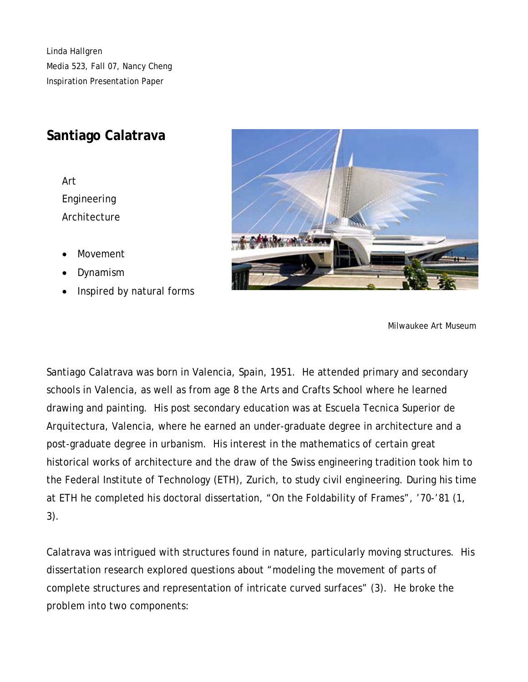Linda Hallgren Media 523, Fall 07, Nancy Cheng Inspiration Presentation Paper

## **Santiago Calatrava**

Art Engineering Architecture

- Movement
- Dynamism
- Inspired by natural forms



Milwaukee Art Museum

Santiago Calatrava was born in Valencia, Spain, 1951. He attended primary and secondary schools in Valencia, as well as from age 8 the Arts and Crafts School where he learned drawing and painting. His post secondary education was at Escuela Tecnica Superior de Arquitectura, Valencia, where he earned an under-graduate degree in architecture and a post-graduate degree in urbanism. His interest in the mathematics of certain great historical works of architecture and the draw of the Swiss engineering tradition took him to the Federal Institute of Technology (ETH), Zurich, to study civil engineering. During his time at ETH he completed his doctoral dissertation, "On the Foldability of Frames", '70-'81 (1, 3).

Calatrava was intrigued with structures found in nature, particularly moving structures. His dissertation research explored questions about "modeling the movement of parts of complete structures and representation of intricate curved surfaces" (3). He broke the problem into two components: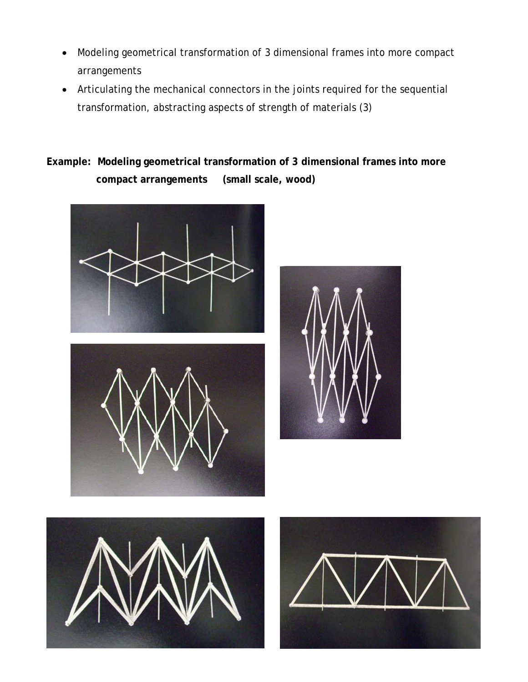- Modeling geometrical transformation of 3 dimensional frames into more compact arrangements
- Articulating the mechanical connectors in the joints required for the sequential transformation, abstracting aspects of strength of materials (3)
- **Example: Modeling geometrical transformation of 3 dimensional frames into more compact arrangements (small scale, wood)**







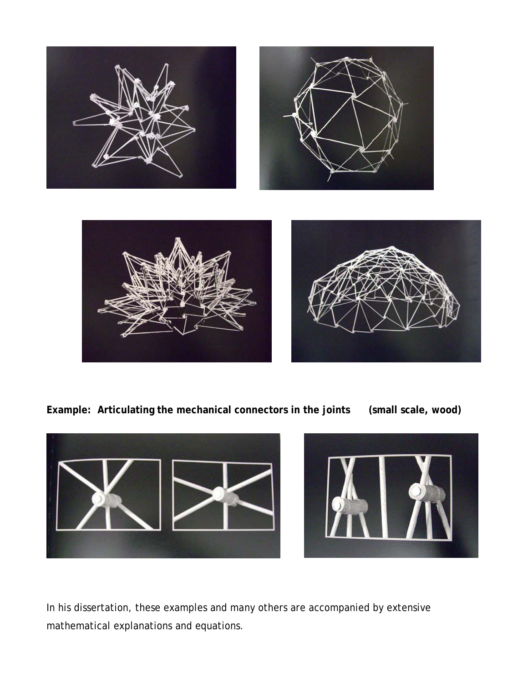

**Example: Articulating the mechanical connectors in the joints (small scale, wood)**



In his dissertation, these examples and many others are accompanied by extensive mathematical explanations and equations.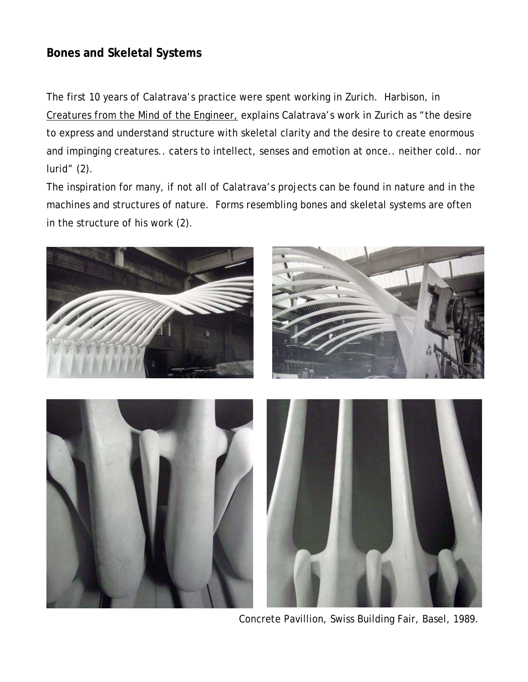## **Bones and Skeletal Systems**

The first 10 years of Calatrava's practice were spent working in Zurich. Harbison, in Creatures from the Mind of the Engineer, explains Calatrava's work in Zurich as "the desire to express and understand structure with skeletal clarity and the desire to create enormous and impinging creatures.. caters to intellect, senses and emotion at once.. neither cold.. nor lurid" (2).

The inspiration for many, if not all of Calatrava's projects can be found in nature and in the machines and structures of nature. Forms resembling bones and skeletal systems are often in the structure of his work (2).



Concrete Pavillion, Swiss Building Fair, Basel, 1989.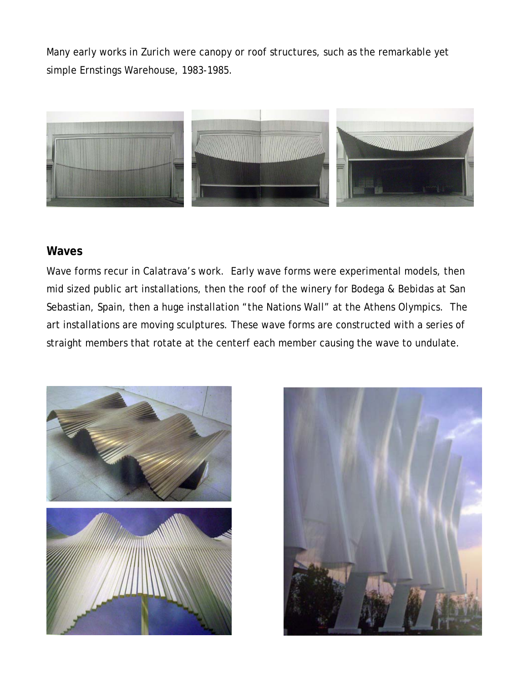Many early works in Zurich were canopy or roof structures, such as the remarkable yet simple Ernstings Warehouse, 1983-1985.



#### **Waves**

Wave forms recur in Calatrava's work. Early wave forms were experimental models, then mid sized public art installations, then the roof of the winery for Bodega & Bebidas at San Sebastian, Spain, then a huge installation "the Nations Wall" at the Athens Olympics. The art installations are moving sculptures. These wave forms are constructed with a series of straight members that rotate at the centerf each member causing the wave to undulate.



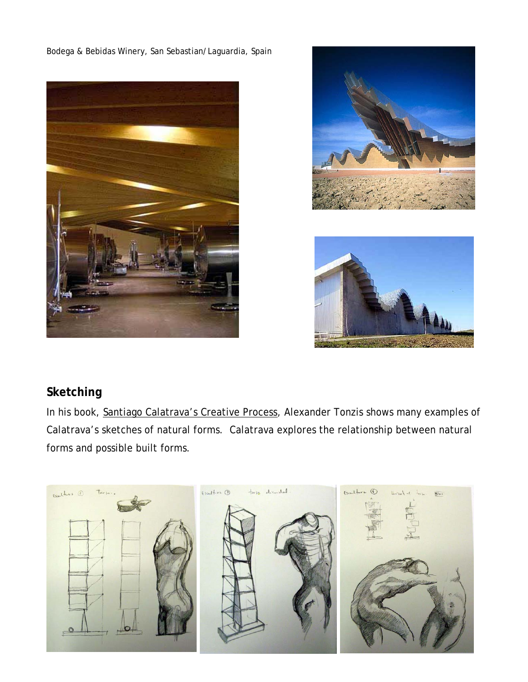Bodega & Bebidas Winery, San Sebastian/Laguardia, Spain







### **Sketching**

In his book, Santiago Calatrava's Creative Process, Alexander Tonzis shows many examples of Calatrava's sketches of natural forms. Calatrava explores the relationship between natural forms and possible built forms.

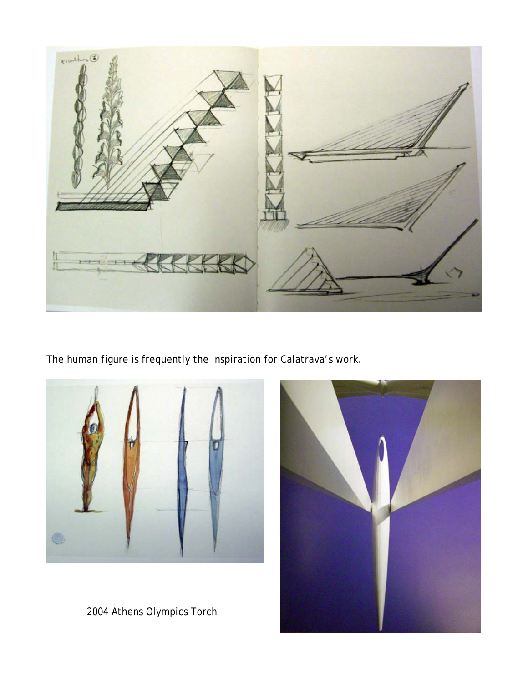

The human figure is frequently the inspiration for Calatrava's work.



2004 Athens Olympics Torch

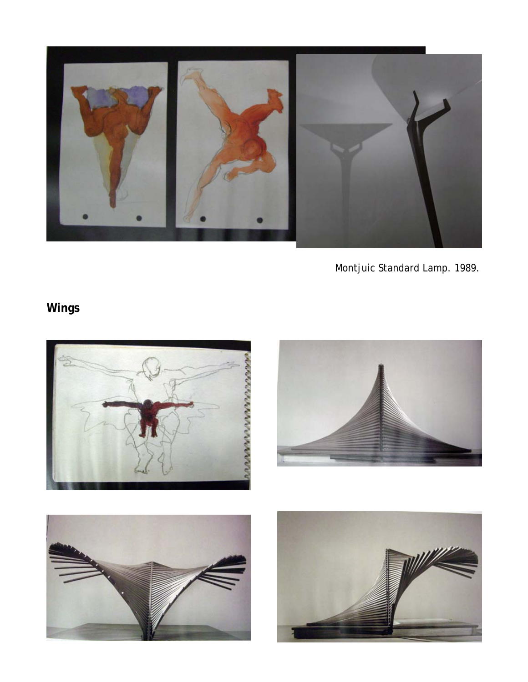

Montjuic Standard Lamp. 1989.

# **Wings**

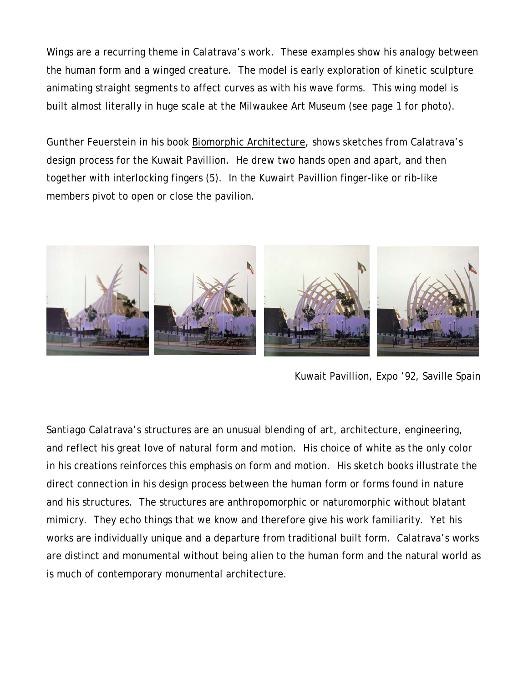Wings are a recurring theme in Calatrava's work. These examples show his analogy between the human form and a winged creature. The model is early exploration of kinetic sculpture animating straight segments to affect curves as with his wave forms. This wing model is built almost literally in huge scale at the Milwaukee Art Museum (see page 1 for photo).

Gunther Feuerstein in his book Biomorphic Architecture, shows sketches from Calatrava's design process for the Kuwait Pavillion. He drew two hands open and apart, and then together with interlocking fingers (5). In the Kuwairt Pavillion finger-like or rib-like members pivot to open or close the pavilion.



Kuwait Pavillion, Expo '92, Saville Spain

Santiago Calatrava's structures are an unusual blending of art, architecture, engineering, and reflect his great love of natural form and motion. His choice of white as the only color in his creations reinforces this emphasis on form and motion. His sketch books illustrate the direct connection in his design process between the human form or forms found in nature and his structures. The structures are anthropomorphic or naturomorphic without blatant mimicry. They echo things that we know and therefore give his work familiarity. Yet his works are individually unique and a departure from traditional built form. Calatrava's works are distinct and monumental without being alien to the human form and the natural world as is much of contemporary monumental architecture.